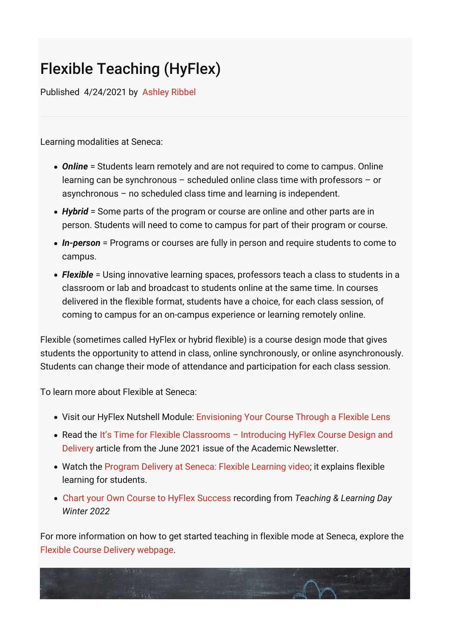## Flexible Teaching (HyFlex)

Published 4/24/2021 by [Ashley Ribbel](https://employees.senecacollege.ca/people/ashley-ribbel)

Learning modalities at Seneca:

- *Online* = Students learn remotely and are not required to come to campus. Online learning can be synchronous – scheduled online class time with professors – or asynchronous – no scheduled class time and learning is independent.
- *Hybrid* = Some parts of the program or course are online and other parts are in person. Students will need to come to campus for part of their program or course.
- *In-person* = Programs or courses are fully in person and require students to come to campus.
- *Flexible* = Using innovative learning spaces, professors teach a class to students in a classroom or lab and broadcast to students online at the same time. In courses delivered in the flexible format, students have a choice, for each class session, of coming to campus for an on-campus experience or learning remotely online.

Flexible (sometimes called HyFlex or hybrid flexible) is a course design mode that gives students the opportunity to attend in class, online synchronously, or online asynchronously. Students can change their mode of attendance and participation for each class session.

To learn more about Flexible at Seneca:

- Visit our HyFlex Nutshell Module: [Envisioning Your Course Through a Flexible Lens](https://cfdev.senecacollege.ca/tl/nutshell_hyflex/module01/index.html)
- Read the It's Time for Flexible Classrooms Introducing HyFlex Course Design and Delivery [article from the June 2021 issue of the Academic Newsletter.](https://employees.senecacollege.ca/spaces/153/academic-newsletter/articles/june-2021/11128/it-s-time-for-flexible-classrooms-introducing-hyflex-course-design-and-delivery)
- Watch the [Program Delivery at Seneca: Flexible Learning video;](https://www.youtube.com/watch?v=yNArwyKsvMw) it explains flexible learning for students.
- [Chart your Own Course to HyFlex Success](https://employees.senecacollege.ca/spaces/39/the-teaching-learning-centre/videos/ashley.ribbel/instructional/13979/chart-your-own-course-to-hyflex-success) recording from *Teaching & Learning Day Winter 2022*

For more information on how to get started teaching in flexible mode at Seneca, explore the [Flexible Course Delivery webpage.](https://express.adobe.com/page/6C5WQPAlOSzsw/)

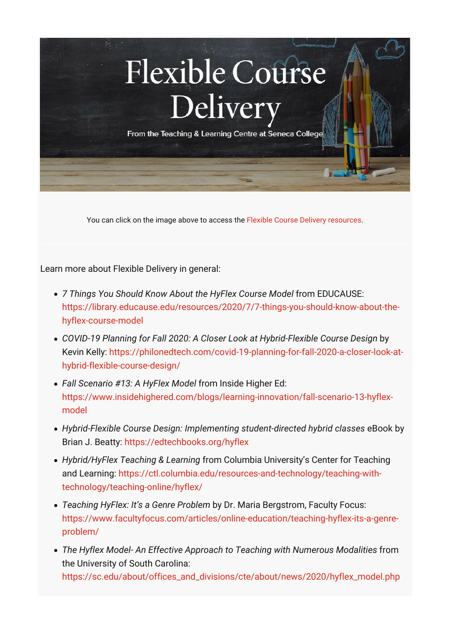

You can click on the image above to access the [Flexible Course Delivery resources.](https://express.adobe.com/page/6C5WQPAlOSzsw/)

Learn more about Flexible Delivery in general:

- *7 Things You Should Know About the HyFlex Course Model* from EDUCAUSE: [https://library.educause.edu/resources/2020/7/7-things-you-should-know-about-the](https://library.educause.edu/resources/2020/7/7-things-you-should-know-about-the-hyflex-course-model)hyflex-course-model
- *COVID-19 Planning for Fall 2020: A Closer Look at Hybrid-Flexible Course Design* by [Kevin Kelly: https://philonedtech.com/covid-19-planning-for-fall-2020-a-closer-look-at](https://philonedtech.com/covid-19-planning-for-fall-2020-a-closer-look-at-hybrid-flexible-course-design/)hybrid-flexible-course-design/
- *Fall Scenario #13: A HyFlex Model* from Inside Higher Ed: [https://www.insidehighered.com/blogs/learning-innovation/fall-scenario-13-hyflex](https://www.insidehighered.com/blogs/learning-innovation/fall-scenario-13-hyflex-model)model
- *Hybrid-Flexible Course Design: Implementing student-directed hybrid classes* eBook by Brian J. Beatty: <https://edtechbooks.org/hyflex>
- *Hybrid/HyFlex Teaching & Learning* from Columbia University's Center for Teaching [and Learning: https://ctl.columbia.edu/resources-and-technology/teaching-with](https://ctl.columbia.edu/resources-and-technology/teaching-with-technology/teaching-online/hyflex/)technology/teaching-online/hyflex/
- *Teaching HyFlex: It's a Genre Problem* by Dr. Maria Bergstrom, Faculty Focus: [https://www.facultyfocus.com/articles/online-education/teaching-hyflex-its-a-genre](https://www.facultyfocus.com/articles/online-education/teaching-hyflex-its-a-genre-problem/)problem/
- *The Hyflex Model- An Effective Approach to Teaching with Numerous Modalities* from the University of South Carolina: [https://sc.edu/about/offices\\_and\\_divisions/cte/about/news/2020/hyflex\\_model.php](https://sc.edu/about/offices_and_divisions/cte/about/news/2020/hyflex_model.php)